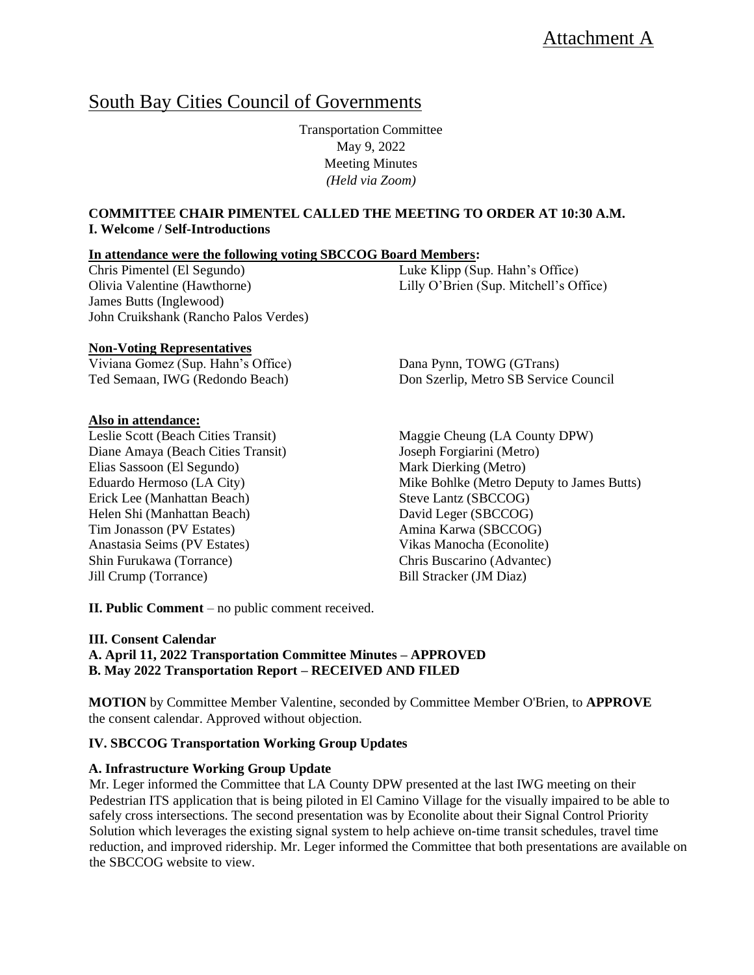# South Bay Cities Council of Governments

Transportation Committee May 9, 2022 Meeting Minutes *(Held via Zoom)*

# **COMMITTEE CHAIR PIMENTEL CALLED THE MEETING TO ORDER AT 10:30 A.M. I. Welcome / Self-Introductions**

#### **In attendance were the following voting SBCCOG Board Members:**

Chris Pimentel (El Segundo) Olivia Valentine (Hawthorne) James Butts (Inglewood) John Cruikshank (Rancho Palos Verdes)

#### **Non-Voting Representatives**

Viviana Gomez (Sup. Hahn's Office) Ted Semaan, IWG (Redondo Beach)

#### **Also in attendance:**

Leslie Scott (Beach Cities Transit) Diane Amaya (Beach Cities Transit) Elias Sassoon (El Segundo) Eduardo Hermoso (LA City) Erick Lee (Manhattan Beach) Helen Shi (Manhattan Beach) Tim Jonasson (PV Estates) Anastasia Seims (PV Estates) Shin Furukawa (Torrance) Jill Crump (Torrance)

Luke Klipp (Sup. Hahn's Office) Lilly O'Brien (Sup. Mitchell's Office)

Dana Pynn, TOWG (GTrans) Don Szerlip, Metro SB Service Council

Maggie Cheung (LA County DPW) Joseph Forgiarini (Metro) Mark Dierking (Metro) Mike Bohlke (Metro Deputy to James Butts) Steve Lantz (SBCCOG) David Leger (SBCCOG) Amina Karwa (SBCCOG) Vikas Manocha (Econolite) Chris Buscarino (Advantec) Bill Stracker (JM Diaz)

**II. Public Comment** – no public comment received.

#### **III. Consent Calendar**

**A. April 11, 2022 Transportation Committee Minutes – APPROVED B. May 2022 Transportation Report – RECEIVED AND FILED**

**MOTION** by Committee Member Valentine, seconded by Committee Member O'Brien, to **APPROVE** the consent calendar. Approved without objection.

#### **IV. SBCCOG Transportation Working Group Updates**

#### **A. Infrastructure Working Group Update**

Mr. Leger informed the Committee that LA County DPW presented at the last IWG meeting on their Pedestrian ITS application that is being piloted in El Camino Village for the visually impaired to be able to safely cross intersections. The second presentation was by Econolite about their Signal Control Priority Solution which leverages the existing signal system to help achieve on-time transit schedules, travel time reduction, and improved ridership. Mr. Leger informed the Committee that both presentations are available on the SBCCOG website to view.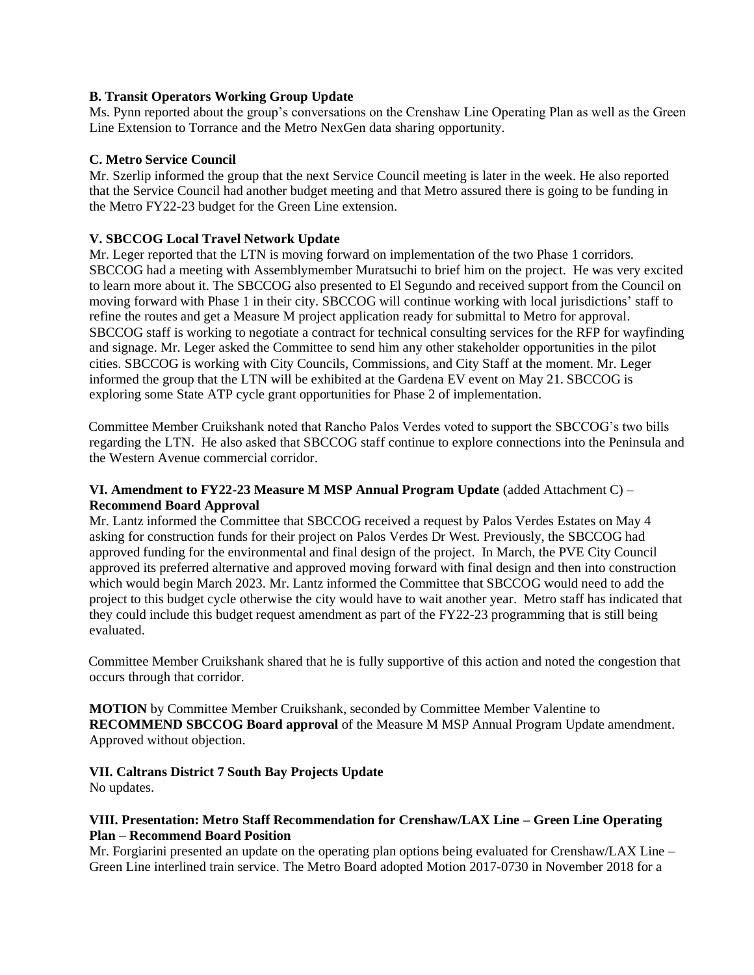# **B. Transit Operators Working Group Update**

Ms. Pynn reported about the group's conversations on the Crenshaw Line Operating Plan as well as the Green Line Extension to Torrance and the Metro NexGen data sharing opportunity.

### **C. Metro Service Council**

Mr. Szerlip informed the group that the next Service Council meeting is later in the week. He also reported that the Service Council had another budget meeting and that Metro assured there is going to be funding in the Metro FY22-23 budget for the Green Line extension.

# **V. SBCCOG Local Travel Network Update**

Mr. Leger reported that the LTN is moving forward on implementation of the two Phase 1 corridors. SBCCOG had a meeting with Assemblymember Muratsuchi to brief him on the project. He was very excited to learn more about it. The SBCCOG also presented to El Segundo and received support from the Council on moving forward with Phase 1 in their city. SBCCOG will continue working with local jurisdictions' staff to refine the routes and get a Measure M project application ready for submittal to Metro for approval. SBCCOG staff is working to negotiate a contract for technical consulting services for the RFP for wayfinding and signage. Mr. Leger asked the Committee to send him any other stakeholder opportunities in the pilot cities. SBCCOG is working with City Councils, Commissions, and City Staff at the moment. Mr. Leger informed the group that the LTN will be exhibited at the Gardena EV event on May 21. SBCCOG is exploring some State ATP cycle grant opportunities for Phase 2 of implementation.

Committee Member Cruikshank noted that Rancho Palos Verdes voted to support the SBCCOG's two bills regarding the LTN. He also asked that SBCCOG staff continue to explore connections into the Peninsula and the Western Avenue commercial corridor.

# **VI. Amendment to FY22-23 Measure M MSP Annual Program Update** (added Attachment C) – **Recommend Board Approval**

Mr. Lantz informed the Committee that SBCCOG received a request by Palos Verdes Estates on May 4 asking for construction funds for their project on Palos Verdes Dr West. Previously, the SBCCOG had approved funding for the environmental and final design of the project. In March, the PVE City Council approved its preferred alternative and approved moving forward with final design and then into construction which would begin March 2023. Mr. Lantz informed the Committee that SBCCOG would need to add the project to this budget cycle otherwise the city would have to wait another year. Metro staff has indicated that they could include this budget request amendment as part of the FY22-23 programming that is still being evaluated.

Committee Member Cruikshank shared that he is fully supportive of this action and noted the congestion that occurs through that corridor.

**MOTION** by Committee Member Cruikshank, seconded by Committee Member Valentine to **RECOMMEND SBCCOG Board approval** of the Measure M MSP Annual Program Update amendment. Approved without objection.

# **VII. Caltrans District 7 South Bay Projects Update**

No updates.

# **VIII. Presentation: Metro Staff Recommendation for Crenshaw/LAX Line – Green Line Operating Plan – Recommend Board Position**

Mr. Forgiarini presented an update on the operating plan options being evaluated for Crenshaw/LAX Line – Green Line interlined train service. The Metro Board adopted Motion 2017-0730 in November 2018 for a